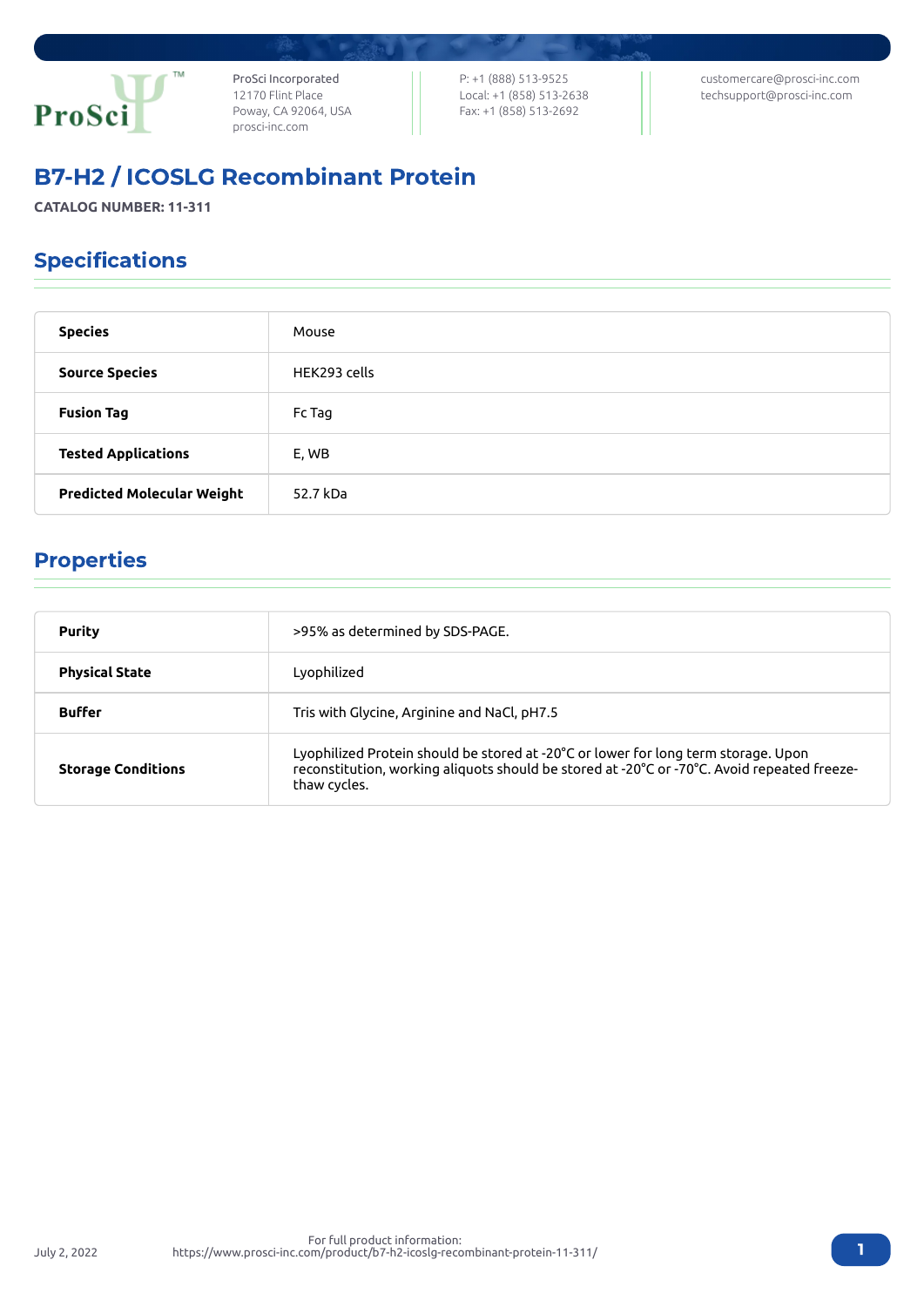

ProSci Incorporated 12170 Flint Place Poway, CA 92064, USA [prosci-inc.com](https://prosci-inc.com/)

P: +1 (888) 513-9525 Local: +1 (858) 513-2638 Fax: +1 (858) 513-2692

[customercare@prosci-inc.com](mailto:customercare@prosci-inc.com) [techsupport@prosci-inc.com](mailto:techsupport@prosci-inc.com)

# B7-H2 / ICOSLG Recombinant Protein

**CATALOG NUMBER: 11-311**

## Specifications

| <b>Species</b>                    | Mouse        |
|-----------------------------------|--------------|
| <b>Source Species</b>             | HEK293 cells |
| <b>Fusion Tag</b>                 | Fc Tag       |
| <b>Tested Applications</b>        | E, WB        |
| <b>Predicted Molecular Weight</b> | 52.7 kDa     |

### Properties

| <b>Purity</b>             | >95% as determined by SDS-PAGE.                                                                                                                                                                   |  |
|---------------------------|---------------------------------------------------------------------------------------------------------------------------------------------------------------------------------------------------|--|
| <b>Physical State</b>     | Lyophilized                                                                                                                                                                                       |  |
| <b>Buffer</b>             | Tris with Glycine, Arginine and NaCl, pH7.5                                                                                                                                                       |  |
| <b>Storage Conditions</b> | Lyophilized Protein should be stored at -20°C or lower for long term storage. Upon<br>reconstitution, working aliquots should be stored at -20°C or -70°C. Avoid repeated freeze-<br>thaw cycles. |  |